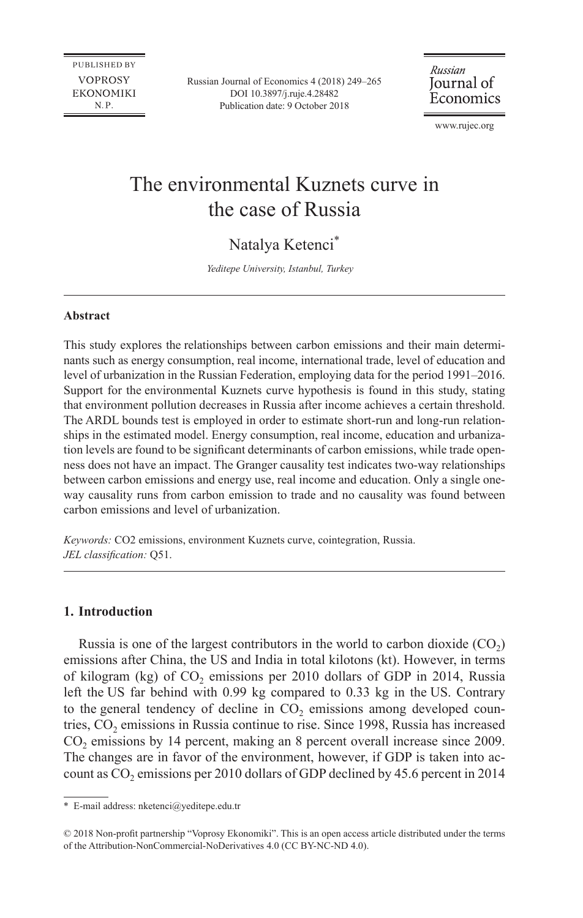**PUBLISHED BY VOPROSY EKONOMIKI**  $N.P.$ 

Russian Journal of Economics 4 (2018) 249–265 [DOI 10.3897/j.ruje.4.28482](https://doi.org/10.3897/j.ruje.4.28482) Publication date: 9 October 2018

Russian Journal of Economics

[www.rujec.org](http://www.rujec.org)

# The environmental Kuznets curve in the case of Russia

## Natalya Ketenci\*

*Yeditepe University, Istanbul, Turkey*

#### **Abstract**

This study explores the relationships between carbon emissions and their main determinants such as energy consumption, real income, international trade, level of education and level of urbanization in the Russian Federation, employing data for the period 1991–2016. Support for the environmental Kuznets curve hypothesis is found in this study, stating that environment pollution decreases in Russia after income achieves a certain threshold. The ARDL bounds test is employed in order to estimate short-run and long-run relationships in the estimated model. Energy consumption, real income, education and urbanization levels are found to be significant determinants of carbon emissions, while trade openness does not have an impact. The Granger causality test indicates two-way relationships between carbon emissions and energy use, real income and education. Only a single oneway causality runs from carbon emission to trade and no causality was found between carbon emissions and level of urbanization.

*Keywords:* CO2 emissions, environment Kuznets curve, cointegration, Russia. *JEL classification:* Q51.

#### **1. Introduction**

Russia is one of the largest contributors in the world to carbon dioxide  $(CO<sub>2</sub>)$ emissions after China, the US and India in total kilotons (kt). However, in terms of kilogram (kg) of  $CO<sub>2</sub>$  emissions per 2010 dollars of GDP in 2014, Russia left the US far behind with 0.99 kg compared to 0.33 kg in the US. Contrary to the general tendency of decline in CO<sub>2</sub> emissions among developed countries,  $CO<sub>2</sub>$  emissions in Russia continue to rise. Since 1998, Russia has increased CO<sub>2</sub> emissions by 14 percent, making an 8 percent overall increase since 2009. The changes are in favor of the environment, however, if GDP is taken into account as  $CO<sub>2</sub>$  emissions per 2010 dollars of GDP declined by 45.6 percent in 2014

<sup>\*</sup> E-mail address: [nketenci@yeditepe.edu.tr](mailto:nketenci@yeditepe.edu.tr)

<sup>© 2018</sup> Non-profit partnership "Voprosy Ekonomiki". This is an open access article distributed under the terms of the Attribution-NonCommercial-NoDerivatives 4.0 (CC BY-NC-ND 4.0).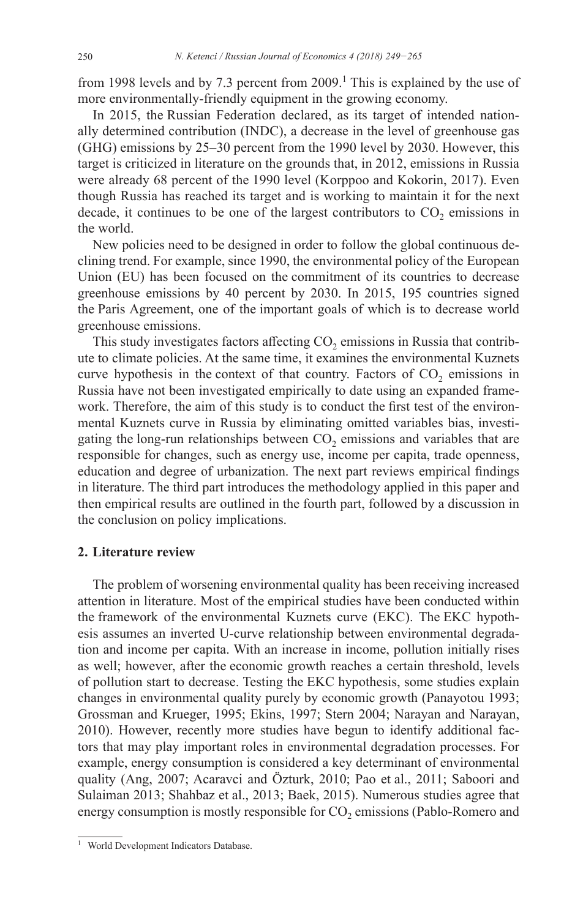from 1998 levels and by 7.3 percent from  $2009$ .<sup>1</sup> This is explained by the use of more environmentally-friendly equipment in the growing economy.

In 2015, the Russian Federation declared, as its target of intended nationally determined contribution (INDC), a decrease in the level of greenhouse gas (GHG) emissions by 25–30 percent from the 1990 level by 2030. However, this target is criticized in literature on the grounds that, in 2012, emissions in Russia were already 68 percent of the 1990 level (Korppoo and Kokorin, 2017). Even though Russia has reached its target and is working to maintain it for the next decade, it continues to be one of the largest contributors to  $CO<sub>2</sub>$  emissions in the world.

New policies need to be designed in order to follow the global continuous declining trend. For example, since 1990, the environmental policy of the European Union (EU) has been focused on the commitment of its countries to decrease greenhouse emissions by 40 percent by 2030. In 2015, 195 countries signed the Paris Agreement, one of the important goals of which is to decrease world greenhouse emissions.

This study investigates factors affecting  $CO<sub>2</sub>$  emissions in Russia that contribute to climate policies. At the same time, it examines the environmental Kuznets curve hypothesis in the context of that country. Factors of  $CO<sub>2</sub>$  emissions in Russia have not been investigated empirically to date using an expanded framework. Therefore, the aim of this study is to conduct the first test of the environmental Kuznets curve in Russia by eliminating omitted variables bias, investigating the long-run relationships between  $CO<sub>2</sub>$  emissions and variables that are responsible for changes, such as energy use, income per capita, trade openness, education and degree of urbanization. The next part reviews empirical findings in literature. The third part introduces the methodology applied in this paper and then empirical results are outlined in the fourth part, followed by a discussion in the conclusion on policy implications.

#### **2. Literature review**

The problem of worsening environmental quality has been receiving increased attention in literature. Most of the empirical studies have been conducted within the framework of the environmental Kuznets curve (EKC). The EKC hypothesis assumes an inverted U-curve relationship between environmental degradation and income per capita. With an increase in income, pollution initially rises as well; however, after the economic growth reaches a certain threshold, levels of pollution start to decrease. Testing the EKC hypothesis, some studies explain changes in environmental quality purely by economic growth (Panayotou 1993; Grossman and Krueger, 1995; Ekins, 1997; Stern 2004; Narayan and Narayan, 2010). However, recently more studies have begun to identify additional factors that may play important roles in environmental degradation processes. For example, energy consumption is considered a key determinant of environmental quality (Ang, 2007; Acaravci and Özturk, 2010; Pao et al., 2011; Saboori and Sulaiman 2013; Shahbaz et al., 2013; Baek, 2015). Numerous studies agree that energy consumption is mostly responsible for  $CO<sub>2</sub>$  emissions (Pablo-Romero and

<sup>&</sup>lt;sup>1</sup> World Development Indicators Database.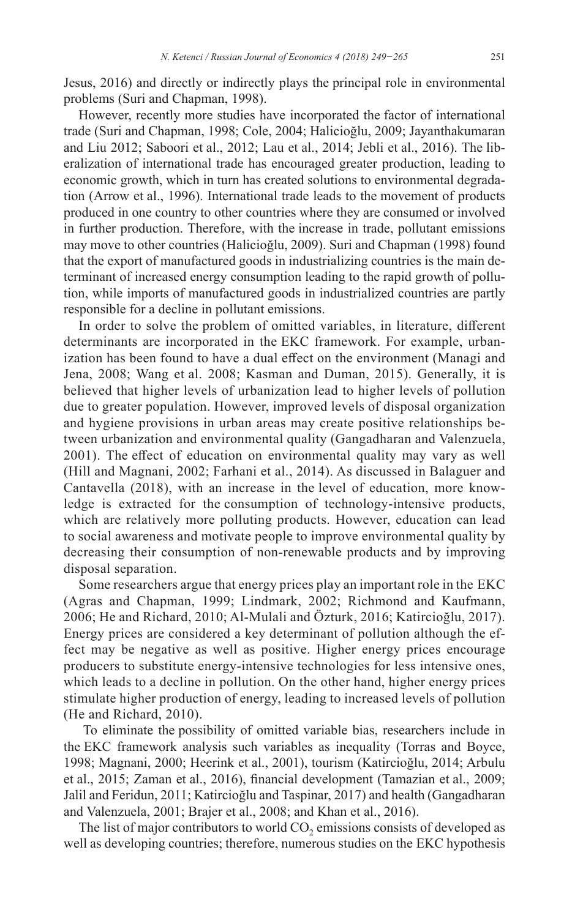Jesus, 2016) and directly or indirectly plays the principal role in environmental problems (Suri and Chapman, 1998).

However, recently more studies have incorporated the factor of international trade (Suri and Chapman, 1998; Cole, 2004; Halicioğlu, 2009; Jayanthakumaran and Liu 2012; Saboori et al., 2012; Lau et al., 2014; Jebli et al., 2016). The liberalization of international trade has encouraged greater production, leading to economic growth, which in turn has created solutions to environmental degradation (Arrow et al., 1996). International trade leads to the movement of products produced in one country to other countries where they are consumed or involved in further production. Therefore, with the increase in trade, pollutant emissions may move to other countries (Halicioğlu, 2009). Suri and Chapman (1998) found that the export of manufactured goods in industrializing countries is the main determinant of increased energy consumption leading to the rapid growth of pollution, while imports of manufactured goods in industrialized countries are partly responsible for a decline in pollutant emissions.

In order to solve the problem of omitted variables, in literature, different determinants are incorporated in the EKC framework. For example, urbanization has been found to have a dual effect on the environment (Managi and Jena, 2008; Wang et al. 2008; Kasman and Duman, 2015). Generally, it is believed that higher levels of urbanization lead to higher levels of pollution due to greater population. However, improved levels of disposal organization and hygiene provisions in urban areas may create positive relationships between urbanization and environmental quality (Gangadharan and Valenzuela, 2001). The effect of education on environmental quality may vary as well (Hill and Magnani, 2002; Farhani et al., 2014). As discussed in Balaguer and Cantavella (2018), with an increase in the level of education, more knowledge is extracted for the consumption of technology-intensive products, which are relatively more polluting products. However, education can lead to social awareness and motivate people to improve environmental quality by decreasing their consumption of non-renewable products and by improving disposal separation.

Some researchers argue that energy prices play an important role in the EKC (Agras and Chapman, 1999; Lindmark, 2002; Richmond and Kaufmann, 2006; He and Richard, 2010; Al-Mulali and Özturk, 2016; Katircioğlu, 2017). Energy prices are considered a key determinant of pollution although the effect may be negative as well as positive. Higher energy prices encourage producers to substitute energy-intensive technologies for less intensive ones, which leads to a decline in pollution. On the other hand, higher energy prices stimulate higher production of energy, leading to increased levels of pollution (He and Richard, 2010).

 To eliminate the possibility of omitted variable bias, researchers include in the EKC framework analysis such variables as inequality (Torras and Boyce, 1998; Magnani, 2000; Heerink et al., 2001), tourism (Katircioğlu, 2014; Arbulu et al., 2015; Zaman et al., 2016), financial development (Tamazian et al., 2009; Jalil and Feridun, 2011; Katircioğlu and Taspinar, 2017) and health (Gangadharan and Valenzuela, 2001; Brajer et al., 2008; and Khan et al., 2016).

The list of major contributors to world  $CO<sub>2</sub>$  emissions consists of developed as well as developing countries; therefore, numerous studies on the EKC hypothesis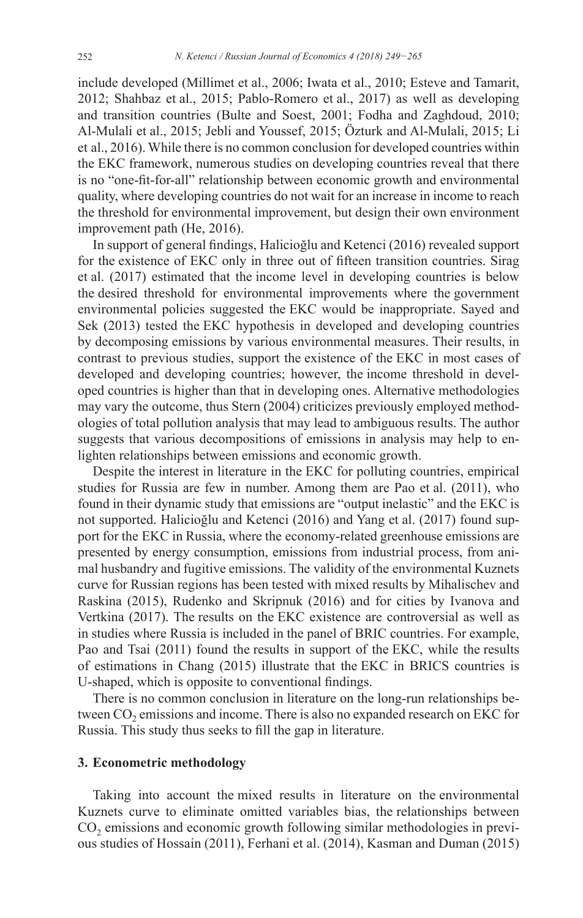include developed (Millimet et al., 2006; Iwata et al., 2010; Esteve and Tamarit, 2012; Shahbaz et al., 2015; Pablo-Romero et al., 2017) as well as developing and transition countries (Bulte and Soest, 2001; Fodha and Zaghdoud, 2010; Al-Mulali et al., 2015; Jebli and Youssef, 2015; Özturk and Al-Mulali, 2015; Li et al., 2016). While there is no common conclusion for developed countries within the EKC framework, numerous studies on developing countries reveal that there is no "one-fit-for-all" relationship between economic growth and environmental quality, where developing countries do not wait for an increase in income to reach the threshold for environmental improvement, but design their own environment improvement path (He, 2016).

In support of general findings, Halicioğlu and Ketenci (2016) revealed support for the existence of EKC only in three out of fifteen transition countries. Sirag et al. (2017) estimated that the income level in developing countries is below the desired threshold for environmental improvements where the government environmental policies suggested the EKC would be inappropriate. Sayed and Sek (2013) tested the EKC hypothesis in developed and developing countries by decomposing emissions by various environmental measures. Their results, in contrast to previous studies, support the existence of the EKC in most cases of developed and developing countries; however, the income threshold in developed countries is higher than that in developing ones. Alternative methodologies may vary the outcome, thus Stern (2004) criticizes previously employed methodologies of total pollution analysis that may lead to ambiguous results. The author suggests that various decompositions of emissions in analysis may help to enlighten relationships between emissions and economic growth.

Despite the interest in literature in the EKC for polluting countries, empirical studies for Russia are few in number. Among them are Pao et al. (2011), who found in their dynamic study that emissions are "output inelastic" and the EKC is not supported. Halicioğlu and Ketenci (2016) and Yang et al. (2017) found support for the EKC in Russia, where the economy-related greenhouse emissions are presented by energy consumption, emissions from industrial process, from animal husbandry and fugitive emissions. The validity of the environmental Kuznets curve for Russian regions has been tested with mixed results by Mihalischev and Raskina (2015), Rudenko and Skripnuk (2016) and for cities by Ivanova and Vertkina (2017). The results on the EKC existence are controversial as well as in studies where Russia is included in the panel of BRIC countries. For example, Pao and Tsai (2011) found the results in support of the EKC, while the results of estimations in Chang (2015) illustrate that the EKC in BRICS countries is U-shaped, which is opposite to conventional findings.

There is no common conclusion in literature on the long-run relationships between  $CO<sub>2</sub>$  emissions and income. There is also no expanded research on EKC for Russia. This study thus seeks to fill the gap in literature.

#### **3. Econometric methodology**

Taking into account the mixed results in literature on the environmental Kuznets curve to eliminate omitted variables bias, the relationships between  $CO<sub>2</sub>$  emissions and economic growth following similar methodologies in previous studies of Hossain (2011), Ferhani et al. (2014), Kasman and Duman (2015)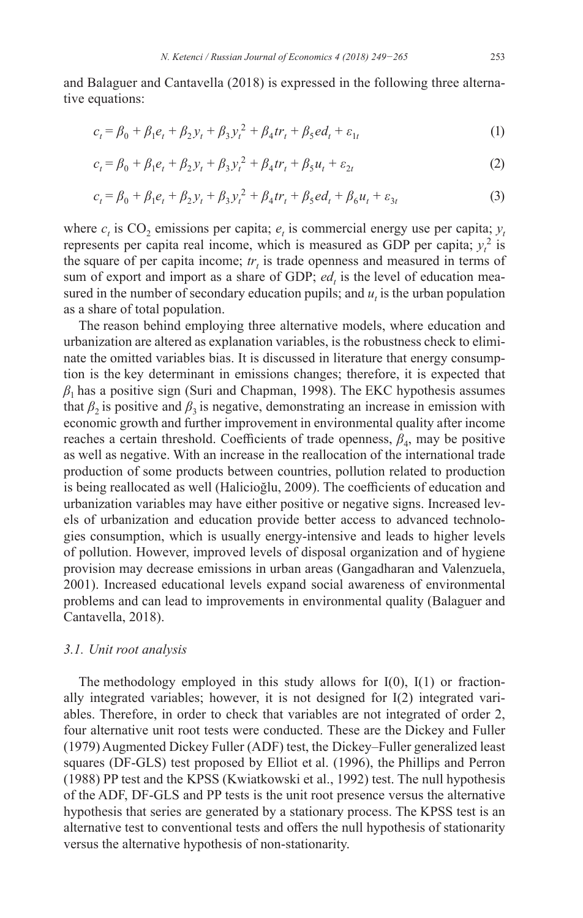and Balaguer and Cantavella (2018) is expressed in the following three alternative equations:

$$
c_t = \beta_0 + \beta_1 e_t + \beta_2 y_t + \beta_3 y_t^2 + \beta_4 tr_t + \beta_5 ed_t + \varepsilon_{1t}
$$
 (1)

$$
c_t = \beta_0 + \beta_1 e_t + \beta_2 y_t + \beta_3 y_t^2 + \beta_4 tr_t + \beta_5 u_t + \varepsilon_{2t}
$$
 (2)

$$
c_t = \beta_0 + \beta_1 e_t + \beta_2 y_t + \beta_3 y_t^2 + \beta_4 tr_t + \beta_5 ed_t + \beta_6 u_t + \varepsilon_{3t}
$$
 (3)

where  $c_t$  is  $CO_2$  emissions per capita;  $e_t$  is commercial energy use per capita;  $y_t$ represents per capita real income, which is measured as GDP per capita;  $y_t^2$  is the square of per capita income;  $tr<sub>t</sub>$  is trade openness and measured in terms of sum of export and import as a share of GDP;  $ed_t$  is the level of education measured in the number of secondary education pupils; and  $u_t$  is the urban population as a share of total population.

The reason behind employing three alternative models, where education and urbanization are altered as explanation variables, is the robustness check to eliminate the omitted variables bias. It is discussed in literature that energy consumption is the key determinant in emissions changes; therefore, it is expected that *β*1 has a positive sign (Suri and Chapman, 1998). The EKC hypothesis assumes that  $\beta_2$  is positive and  $\beta_3$  is negative, demonstrating an increase in emission with economic growth and further improvement in environmental quality after income reaches a certain threshold. Coefficients of trade openness,  $\beta_4$ , may be positive as well as negative. With an increase in the reallocation of the international trade production of some products between countries, pollution related to production is being reallocated as well (Halicioğlu, 2009). The coefficients of education and urbanization variables may have either positive or negative signs. Increased levels of urbanization and education provide better access to advanced technologies consumption, which is usually energy-intensive and leads to higher levels of pollution. However, improved levels of disposal organization and of hygiene provision may decrease emissions in urban areas (Gangadharan and Valenzuela, 2001). Increased educational levels expand social awareness of environmental problems and can lead to improvements in environmental quality (Balaguer and Cantavella, 2018).

#### *3.1. Unit root analysis*

The methodology employed in this study allows for  $I(0)$ ,  $I(1)$  or fractionally integrated variables; however, it is not designed for I(2) integrated variables. Therefore, in order to check that variables are not integrated of order 2, four alternative unit root tests were conducted. These are the Dickey and Fuller (1979) Augmented Dickey Fuller (ADF) test, the Dickey–Fuller generalized least squares (DF-GLS) test proposed by Elliot et al. (1996), the Phillips and Perron (1988) PP test and the KPSS (Kwiatkowski et al., 1992) test. The null hypothesis of the ADF, DF-GLS and PP tests is the unit root presence versus the alternative hypothesis that series are generated by a stationary process. The KPSS test is an alternative test to conventional tests and offers the null hypothesis of stationarity versus the alternative hypothesis of non-stationarity.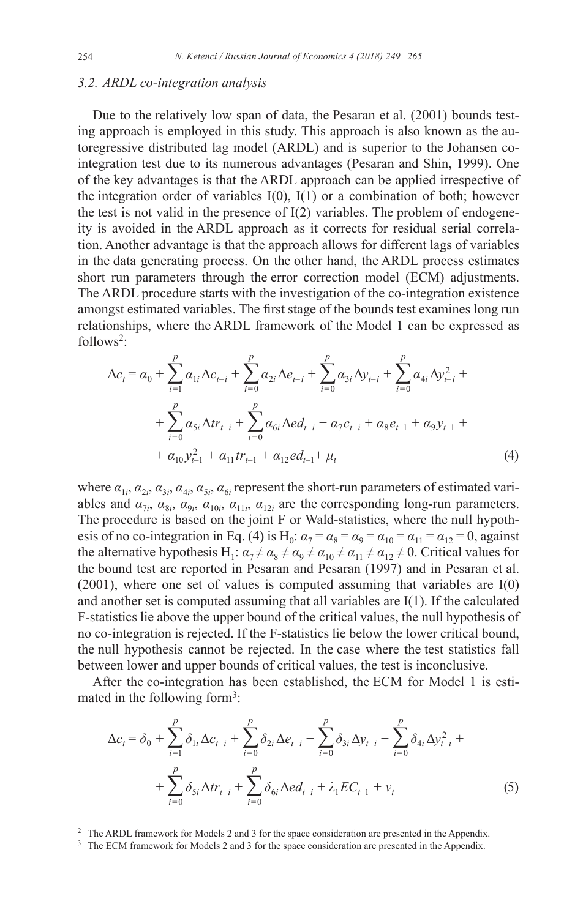#### *3.2. ARDL co-integration analysis*

Due to the relatively low span of data, the Pesaran et al. (2001) bounds testing approach is employed in this study. This approach is also known as the autoregressive distributed lag model (ARDL) and is superior to the Johansen cointegration test due to its numerous advantages (Pesaran and Shin, 1999). One of the key advantages is that the ARDL approach can be applied irrespective of the integration order of variables  $I(0)$ ,  $I(1)$  or a combination of both; however the test is not valid in the presence of  $I(2)$  variables. The problem of endogeneity is avoided in the ARDL approach as it corrects for residual serial correlation. Another advantage is that the approach allows for different lags of variables in the data generating process. On the other hand, the ARDL process estimates short run parameters through the error correction model (ECM) adjustments. The ARDL procedure starts with the investigation of the co-integration existence amongst estimated variables. The first stage of the bounds test examines long run relationships, where the ARDL framework of the Model 1 can be expressed as follows<sup>2</sup>:

$$
\Delta c_{t} = \alpha_{0} + \sum_{i=1}^{p} \alpha_{1i} \Delta c_{t-i} + \sum_{i=0}^{p} \alpha_{2i} \Delta e_{t-i} + \sum_{i=0}^{p} \alpha_{3i} \Delta y_{t-i} + \sum_{i=0}^{p} \alpha_{4i} \Delta y_{t-i}^{2} + \sum_{i=0}^{p} \alpha_{5i} \Delta tr_{t-i} + \sum_{i=0}^{p} \alpha_{6i} \Delta ed_{t-i} + \alpha_{7} c_{t-i} + \alpha_{8} e_{t-1} + \alpha_{9} y_{t-1} + \alpha_{10} y_{t-1}^{2} + \alpha_{11} tr_{t-1} + \alpha_{12} ed_{t-1} + \mu_{t}
$$
\n(4)

where  $a_{1i}$ ,  $a_{2i}$ ,  $a_{3i}$ ,  $a_{4i}$ ,  $a_{5i}$ ,  $a_{6i}$  represent the short-run parameters of estimated variables and  $\alpha_{7i}$ ,  $\alpha_{8i}$ ,  $\alpha_{9i}$ ,  $\alpha_{10i}$ ,  $\alpha_{11i}$ ,  $\alpha_{12i}$  are the corresponding long-run parameters. The procedure is based on the joint F or Wald-statistics, where the null hypothesis of no co-integration in Eq. (4) is H<sub>0</sub>:  $\alpha_7 = \alpha_8 = \alpha_9 = \alpha_{10} = \alpha_{11} = \alpha_{12} = 0$ , against the alternative hypothesis H<sub>1</sub>:  $\alpha_7 \neq \alpha_8 \neq \alpha_9 \neq \alpha_{10} \neq \alpha_{11} \neq \alpha_{12} \neq 0$ . Critical values for the bound test are reported in Pesaran and Pesaran (1997) and in Pesaran et al. (2001), where one set of values is computed assuming that variables are I(0) and another set is computed assuming that all variables are  $I(1)$ . If the calculated F-statistics lie above the upper bound of the critical values, the null hypothesis of no co-integration is rejected. If the F-statistics lie below the lower critical bound, the null hypothesis cannot be rejected. In the case where the test statistics fall between lower and upper bounds of critical values, the test is inconclusive.

After the co-integration has been established, the ECM for Model 1 is estimated in the following form<sup>3</sup>:

$$
\Delta c_{t} = \delta_{0} + \sum_{i=1}^{p} \delta_{1i} \Delta c_{t-i} + \sum_{i=0}^{p} \delta_{2i} \Delta e_{t-i} + \sum_{i=0}^{p} \delta_{3i} \Delta y_{t-i} + \sum_{i=0}^{p} \delta_{4i} \Delta y_{t-i}^{2} + \sum_{i=0}^{p} \delta_{5i} \Delta tr_{t-i} + \sum_{i=0}^{p} \delta_{6i} \Delta e d_{t-i} + \lambda_{1} EC_{t-1} + \nu_{t}
$$
\n(5)

<sup>&</sup>lt;sup>2</sup> The ARDL framework for Models 2 and 3 for the space consideration are presented in the Appendix.<sup>3</sup> The ECM framework for Models 2 and 3 for the space consideration are presented in the Appendix.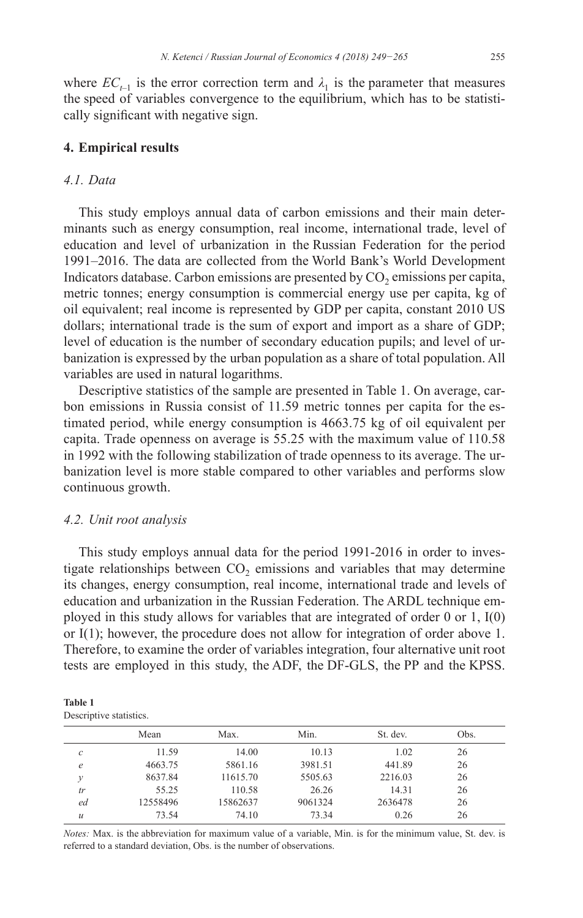where  $EC_{t-1}$  is the error correction term and  $\lambda_1$  is the parameter that measures the speed of variables convergence to the equilibrium, which has to be statistically significant with negative sign.

#### **4. Empirical results**

### *4.1. Data*

This study employs annual data of carbon emissions and their main determinants such as energy consumption, real income, international trade, level of education and level of urbanization in the Russian Federation for the period 1991–2016. The data are collected from the World Bank's World Development Indicators database. Carbon emissions are presented by  $CO<sub>2</sub>$  emissions per capita, metric tonnes; energy consumption is commercial energy use per capita, kg of oil equivalent; real income is represented by GDP per capita, constant 2010 US dollars; international trade is the sum of export and import as a share of GDP; level of education is the number of secondary education pupils; and level of urbanization is expressed by the urban population as a share of total population. All variables are used in natural logarithms.

Descriptive statistics of the sample are presented in Table 1. On average, carbon emissions in Russia consist of 11.59 metric tonnes per capita for the estimated period, while energy consumption is 4663.75 kg of oil equivalent per capita. Trade openness on average is 55.25 with the maximum value of 110.58 in 1992 with the following stabilization of trade openness to its average. The urbanization level is more stable compared to other variables and performs slow continuous growth.

#### *4.2. Unit root analysis*

This study employs annual data for the period 1991-2016 in order to investigate relationships between  $CO<sub>2</sub>$  emissions and variables that may determine its changes, energy consumption, real income, international trade and levels of education and urbanization in the Russian Federation. The ARDL technique employed in this study allows for variables that are integrated of order 0 or 1, I(0) or I(1); however, the procedure does not allow for integration of order above 1. Therefore, to examine the order of variables integration, four alternative unit root tests are employed in this study, the ADF, the DF-GLS, the PP and the KPSS.

| Table 1                 |  |
|-------------------------|--|
| Descriptive statistics. |  |

|               | Mean     | Max.     | Min.    | St. dev. | Obs. |
|---------------|----------|----------|---------|----------|------|
| с             | 11.59    | 14.00    | 10.13   | 1.02     | 26   |
| $\epsilon$    | 4663.75  | 5861.16  | 3981.51 | 441.89   | 26   |
| ν             | 8637.84  | 11615.70 | 5505.63 | 2216.03  | 26   |
| tr            | 55.25    | 110.58   | 26.26   | 14.31    | 26   |
| ed            | 12558496 | 15862637 | 9061324 | 2636478  | 26   |
| $\mathcal{U}$ | 73.54    | 74.10    | 73.34   | 0.26     | 26   |

*Notes:* Max. is the abbreviation for maximum value of a variable, Min. is for the minimum value, St. dev. is referred to a standard deviation, Obs. is the number of observations.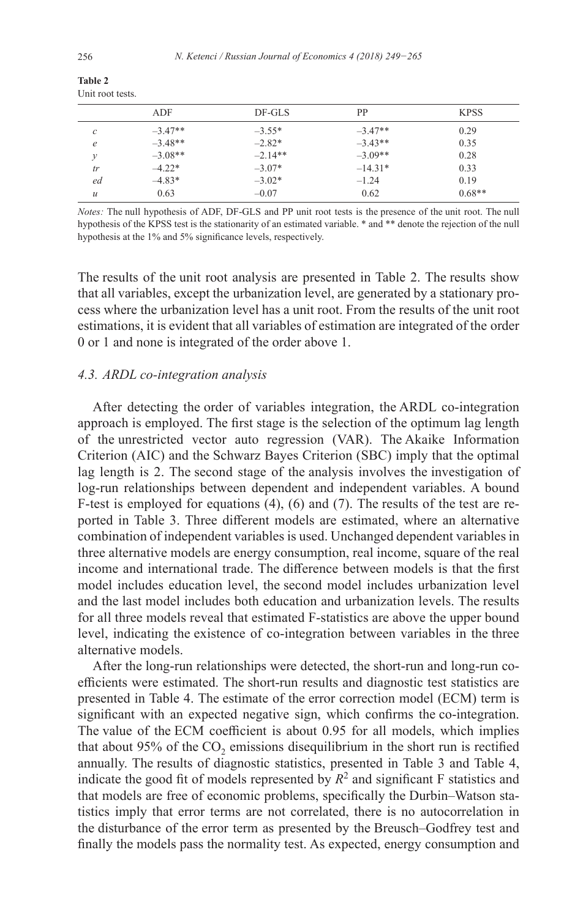|               | ADF       | $DF-GLS$  | PP        | <b>KPSS</b> |
|---------------|-----------|-----------|-----------|-------------|
| c             | $-3.47**$ | $-3.55*$  | $-3.47**$ | 0.29        |
| e             | $-3.48**$ | $-2.82*$  | $-3.43**$ | 0.35        |
|               | $-3.08**$ | $-2.14**$ | $-3.09**$ | 0.28        |
| tr            | $-4.22*$  | $-3.07*$  | $-14.31*$ | 0.33        |
| ed            | $-4.83*$  | $-3.02*$  | $-1.24$   | 0.19        |
| $\mathcal{U}$ | 0.63      | $-0.07$   | 0.62      | $0.68**$    |

**Table 2** Unit root tests.

*Notes:* The null hypothesis of ADF, DF-GLS and PP unit root tests is the presence of the unit root. The null hypothesis of the KPSS test is the stationarity of an estimated variable. \* and \*\* denote the rejection of the null hypothesis at the 1% and 5% significance levels, respectively.

The results of the unit root analysis are presented in Table 2. The results show that all variables, except the urbanization level, are generated by a stationary process where the urbanization level has a unit root. From the results of the unit root estimations, it is evident that all variables of estimation are integrated of the order 0 or 1 and none is integrated of the order above 1.

#### *4.3. ARDL co-integration analysis*

After detecting the order of variables integration, the ARDL co-integration approach is employed. The first stage is the selection of the optimum lag length of the unrestricted vector auto regression (VAR). The Akaike Information Criterion (AIC) and the Schwarz Bayes Criterion (SBC) imply that the optimal lag length is 2. The second stage of the analysis involves the investigation of log-run relationships between dependent and independent variables. A bound F-test is employed for equations (4), (6) and (7). The results of the test are reported in Table 3. Three different models are estimated, where an alternative combination of independent variables is used. Unchanged dependent variables in three alternative models are energy consumption, real income, square of the real income and international trade. The difference between models is that the first model includes education level, the second model includes urbanization level and the last model includes both education and urbanization levels. The results for all three models reveal that estimated F-statistics are above the upper bound level, indicating the existence of co-integration between variables in the three alternative models.

After the long-run relationships were detected, the short-run and long-run coefficients were estimated. The short-run results and diagnostic test statistics are presented in Table 4. The estimate of the error correction model (ECM) term is significant with an expected negative sign, which confirms the co-integration. The value of the ECM coefficient is about 0.95 for all models, which implies that about  $95\%$  of the CO<sub>2</sub> emissions disequilibrium in the short run is rectified annually. The results of diagnostic statistics, presented in Table 3 and Table 4, indicate the good fit of models represented by  $R^2$  and significant F statistics and that models are free of economic problems, specifically the Durbin–Watson statistics imply that error terms are not correlated, there is no autocorrelation in the disturbance of the error term as presented by the Breusch–Godfrey test and finally the models pass the normality test. As expected, energy consumption and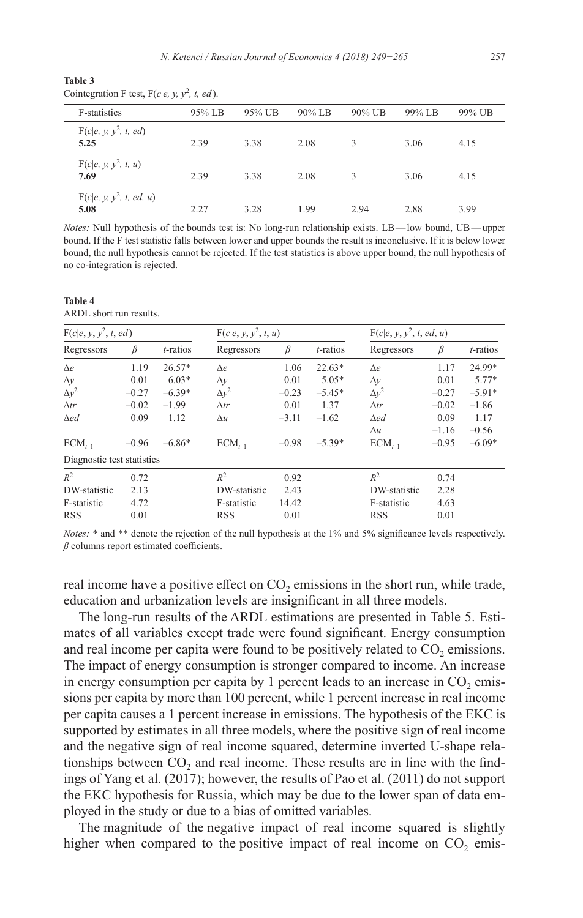| Table 3                                         |  |  |  |
|-------------------------------------------------|--|--|--|
| Cointegration F test, $F(c e, y, y^2, t, ed)$ . |  |  |  |

| <b>F-statistics</b>                | 95% LB | 95% UB | $90\%$ LB | $90\%$ UB | 99% LB | 99% UB |
|------------------------------------|--------|--------|-----------|-----------|--------|--------|
| $F(c e, y, y^2, t, ed)$<br>5.25    | 2.39   | 3.38   | 2.08      | 3         | 3.06   | 4.15   |
| $F(c e, y, y^2, t, u)$<br>7.69     | 2.39   | 3.38   | 2.08      | 3         | 3.06   | 4.15   |
| $F(c e, y, y^2, t, ed, u)$<br>5.08 | 2.27   | 3.28   | 1.99      | 2.94      | 2.88   | 3.99   |

*Notes:* Null hypothesis of the bounds test is: No long-run relationship exists. LB—low bound, UB—upper bound. If the F test statistic falls between lower and upper bounds the result is inconclusive. If it is below lower bound, the null hypothesis cannot be rejected. If the test statistics is above upper bound, the null hypothesis of no co-integration is rejected.

**Table 4** ARDL short run results.

| $F(c e, y, y^2, t, ed)$    |         |             | $F(c e, y, y^2, t, u)$ |         |             | $F(c e, y, y^2, t, ed, u)$ |         |             |
|----------------------------|---------|-------------|------------------------|---------|-------------|----------------------------|---------|-------------|
| Regressors                 | $\beta$ | $t$ -ratios | Regressors             | $\beta$ | $t$ -ratios | Regressors                 | $\beta$ | $t$ -ratios |
| $\Delta e$                 | 1.19    | $26.57*$    | $\Delta e$             | 1.06    | $22.63*$    | $\Delta e$                 | 1.17    | 24.99*      |
| $\Delta y$                 | 0.01    | $6.03*$     | $\Delta y$             | 0.01    | $5.05*$     | $\Delta y$                 | 0.01    | $5.77*$     |
| $\Delta y^2$               | $-0.27$ | $-6.39*$    | $\Delta y^2$           | $-0.23$ | $-5.45*$    | $\Delta y^2$               | $-0.27$ | $-5.91*$    |
| $\Delta tr$                | $-0.02$ | $-1.99$     | $\Delta tr$            | 0.01    | 1.37        | $\Delta tr$                | $-0.02$ | $-1.86$     |
| $\Delta$ ed                | 0.09    | 1.12        | $\Delta u$             | $-3.11$ | $-1.62$     | $\Delta$ ed                | 0.09    | 1.17        |
|                            |         |             |                        |         |             | $\Delta u$                 | $-1.16$ | $-0.56$     |
| $ECM_{t-1}$                | $-0.96$ | $-6.86*$    | $ECM_{t-1}$            | $-0.98$ | $-5.39*$    | $ECM_{t-1}$                | $-0.95$ | $-6.09*$    |
| Diagnostic test statistics |         |             |                        |         |             |                            |         |             |
| $R^2$                      | 0.72    |             | $R^2$                  | 0.92    |             | $R^2$                      | 0.74    |             |
| DW-statistic               | 2.13    |             | DW-statistic           | 2.43    |             | DW-statistic               | 2.28    |             |
| F-statistic                | 4.72    |             | F-statistic            | 14.42   |             | F-statistic                | 4.63    |             |
| <b>RSS</b>                 | 0.01    |             | <b>RSS</b>             | 0.01    |             | <b>RSS</b>                 | 0.01    |             |

*Notes:* \* and \*\* denote the rejection of the null hypothesis at the 1% and 5% significance levels respectively. *β* columns report estimated coefficients.

real income have a positive effect on  $CO_2$  emissions in the short run, while trade, education and urbanization levels are insignificant in all three models.

The long-run results of the ARDL estimations are presented in Table 5. Estimates of all variables except trade were found significant. Energy consumption and real income per capita were found to be positively related to  $CO<sub>2</sub>$  emissions. The impact of energy consumption is stronger compared to income. An increase in energy consumption per capita by 1 percent leads to an increase in  $CO<sub>2</sub>$  emissions per capita by more than 100 percent, while 1 percent increase in real income per capita causes a 1 percent increase in emissions. The hypothesis of the EKC is supported by estimates in all three models, where the positive sign of real income and the negative sign of real income squared, determine inverted U-shape relationships between  $CO<sub>2</sub>$  and real income. These results are in line with the findings of Yang et al. (2017); however, the results of Pao et al. (2011) do not support the EKC hypothesis for Russia, which may be due to the lower span of data employed in the study or due to a bias of omitted variables.

The magnitude of the negative impact of real income squared is slightly higher when compared to the positive impact of real income on  $CO<sub>2</sub>$  emis-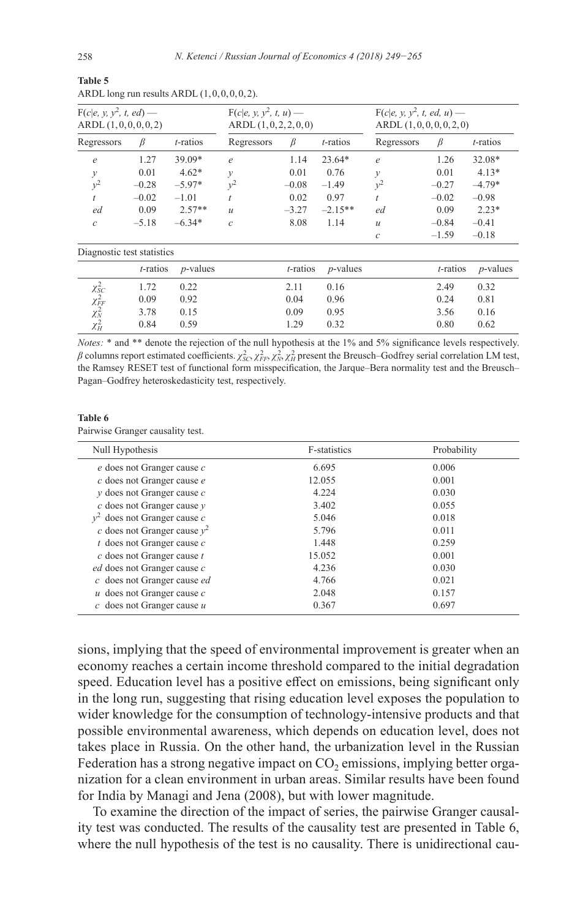| $F(c e, y, y^2, t, ed)$ —<br>ARDL(1,0,0,0,0,2) |             | $F(c e, y, y^2, t, u)$ —<br>ARDL(1,0,2,2,0,0) |               |             | $F(c e, y, y^2, t, ed, u)$ —<br>ARDL(1,0,0,0,0,2,0) |               |             |                  |
|------------------------------------------------|-------------|-----------------------------------------------|---------------|-------------|-----------------------------------------------------|---------------|-------------|------------------|
| Regressors                                     | β           | <i>t</i> -ratios                              | Regressors    | β           | <i>t</i> -ratios                                    | Regressors    | β           | <i>t</i> -ratios |
| $\epsilon$                                     | 1.27        | 39.09*                                        | $\epsilon$    | 1.14        | $23.64*$                                            | $\epsilon$    | 1.26        | 32.08*           |
| $\mathcal{Y}$                                  | 0.01        | $4.62*$                                       | $\mathcal{Y}$ | 0.01        | 0.76                                                | $\mathcal{Y}$ | 0.01        | $4.13*$          |
| $y^2$                                          | $-0.28$     | $-5.97*$                                      | $y^2$         | $-0.08$     | $-1.49$                                             | $v^2$         | $-0.27$     | $-4.79*$         |
| $\overline{t}$                                 | $-0.02$     | $-1.01$                                       |               | 0.02        | 0.97                                                |               | $-0.02$     | $-0.98$          |
| ed                                             | 0.09        | $2.57**$                                      | $\mathcal{U}$ | $-3.27$     | $-2.15**$                                           | ed            | 0.09        | $2.23*$          |
| $\mathcal{C}$                                  | $-5.18$     | $-6.34*$                                      | $\mathcal{C}$ | 8.08        | 1.14                                                | $\mathcal{U}$ | $-0.84$     | $-0.41$          |
|                                                |             |                                               |               |             |                                                     | $\mathcal{C}$ | $-1.59$     | $-0.18$          |
| Diagnostic test statistics                     |             |                                               |               |             |                                                     |               |             |                  |
|                                                | $t$ -ratios | $p$ -values                                   |               | $t$ -ratios | $p$ -values                                         |               | $t$ -ratios | $p$ -values      |
|                                                | 1.72        | 0.22                                          |               | 2.11        | 0.16                                                |               | 2.49        | 0.32             |
| $\chi^2_{\text SC}\over \chi^2_{\text FF}$     | 0.09        | 0.92                                          |               | 0.04        | 0.96                                                |               | 0.24        | 0.81             |
| $\chi_N^2$                                     | 3.78        | 0.15                                          |               | 0.09        | 0.95                                                |               | 3.56        | 0.16             |

ARDL long run results ARDL  $(1, 0, 0, 0, 0, 2)$ .

*Notes:* \* and \*\* denote the rejection of the null hypothesis at the 1% and 5% significance levels respectively. *β* columns report estimated coefficients.  $\chi^2_{SC}$ ,  $\chi^2_{FF}$ ,  $\chi^2_N$ ,  $\chi^2_H$  present the Breusch–Godfrey serial correlation LM test, the Ramsey RESET test of functional form misspecification, the Jarque–Bera normality test and the Breusch– Pagan–Godfrey heteroskedasticity test, respectively.

*<sup>H</sup>* 0.84 0.59 1.29 0.32 0.80 0.62

#### **Table 6**

*χ<del>μ</del>* 

Pairwise Granger causality test.

| Null Hypothesis                     | <b>F-statistics</b> | Probability |
|-------------------------------------|---------------------|-------------|
| e does not Granger cause c          | 6.695               | 0.006       |
| c does not Granger cause e          | 12.055              | 0.001       |
| $\nu$ does not Granger cause $c$    | 4.224               | 0.030       |
| $c$ does not Granger cause $y$      | 3.402               | 0.055       |
| does not Granger cause $c$<br>$v^2$ | 5.046               | 0.018       |
| c does not Granger cause $y^2$      | 5.796               | 0.011       |
| $t$ does not Granger cause $c$      | 1.448               | 0.259       |
| $c$ does not Granger cause $t$      | 15.052              | 0.001       |
| ed does not Granger cause c         | 4.236               | 0.030       |
| c does not Granger cause ed         | 4.766               | 0.021       |
| $u$ does not Granger cause $c$      | 2.048               | 0.157       |
| $c$ does not Granger cause $u$      | 0.367               | 0.697       |

sions, implying that the speed of environmental improvement is greater when an economy reaches a certain income threshold compared to the initial degradation speed. Education level has a positive effect on emissions, being significant only in the long run, suggesting that rising education level exposes the population to wider knowledge for the consumption of technology-intensive products and that possible environmental awareness, which depends on education level, does not takes place in Russia. On the other hand, the urbanization level in the Russian Federation has a strong negative impact on  $CO<sub>2</sub>$  emissions, implying better organization for a clean environment in urban areas. Similar results have been found for India by Managi and Jena (2008), but with lower magnitude.

To examine the direction of the impact of series, the pairwise Granger causality test was conducted. The results of the causality test are presented in Table 6, where the null hypothesis of the test is no causality. There is unidirectional cau-

**Table 5**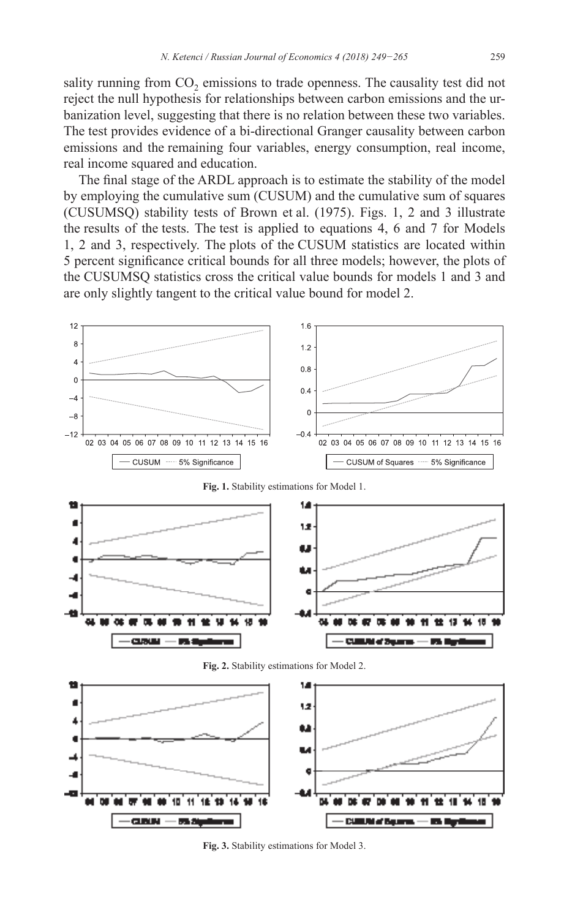sality running from  $CO<sub>2</sub>$  emissions to trade openness. The causality test did not reject the null hypothesis for relationships between carbon emissions and the urbanization level, suggesting that there is no relation between these two variables. The test provides evidence of a bi-directional Granger causality between carbon emissions and the remaining four variables, energy consumption, real income, real income squared and education.

The final stage of the ARDL approach is to estimate the stability of the model by employing the cumulative sum (CUSUM) and the cumulative sum of squares (CUSUMSQ) stability tests of Brown et al. (1975). Figs. 1, 2 and 3 illustrate the results of the tests. The test is applied to equations 4, 6 and 7 for Models 1, 2 and 3, respectively. The plots of the CUSUM statistics are located within 5 percent significance critical bounds for all three models; however, the plots of the CUSUMSQ statistics cross the critical value bounds for models 1 and 3 and are only slightly tangent to the critical value bound for model 2.



**Fig. 3.** Stability estimations for Model 3.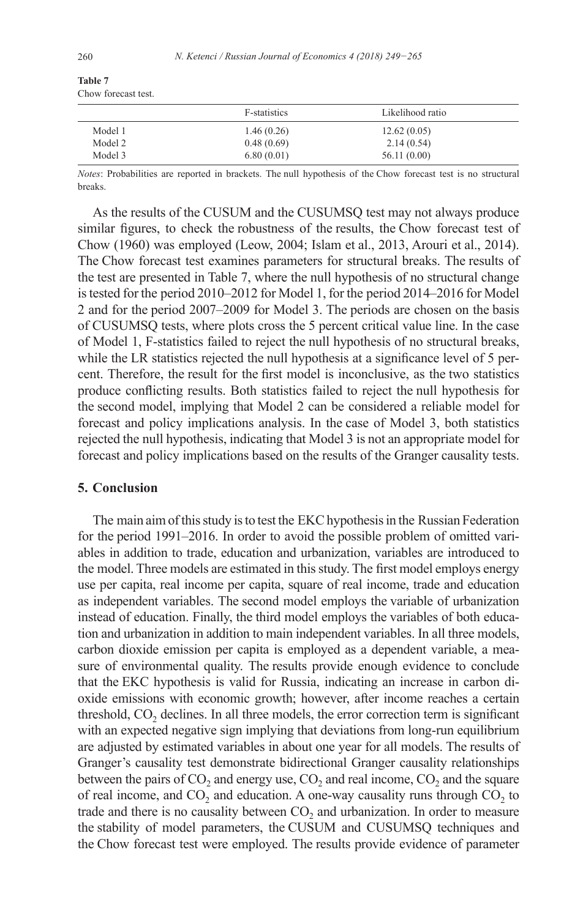| Table 7 |                     |  |
|---------|---------------------|--|
|         | Chow forecast test. |  |

|         | F-statistics | Likelihood ratio |  |
|---------|--------------|------------------|--|
| Model 1 | 1.46(0.26)   | 12.62(0.05)      |  |
| Model 2 | 0.48(0.69)   | 2.14(0.54)       |  |
| Model 3 | 6.80(0.01)   | 56.11 (0.00)     |  |

*Notes*: Probabilities are reported in brackets. The null hypothesis of the Chow forecast test is no structural breaks.

As the results of the CUSUM and the CUSUMSQ test may not always produce similar figures, to check the robustness of the results, the Chow forecast test of Chow (1960) was employed (Leow, 2004; Islam et al., 2013, Arouri et al., 2014). The Chow forecast test examines parameters for structural breaks. The results of the test are presented in Table 7, where the null hypothesis of no structural change is tested for the period 2010–2012 for Model 1, for the period 2014–2016 for Model 2 and for the period 2007–2009 for Model 3. The periods are chosen on the basis of CUSUMSQ tests, where plots cross the 5 percent critical value line. In the case of Model 1, F-statistics failed to reject the null hypothesis of no structural breaks, while the LR statistics rejected the null hypothesis at a significance level of 5 percent. Therefore, the result for the first model is inconclusive, as the two statistics produce conflicting results. Both statistics failed to reject the null hypothesis for the second model, implying that Model 2 can be considered a reliable model for forecast and policy implications analysis. In the case of Model 3, both statistics rejected the null hypothesis, indicating that Model 3 is not an appropriate model for forecast and policy implications based on the results of the Granger causality tests.

#### **5. Conclusion**

The main aim of this study is to test the EKC hypothesis in the Russian Federation for the period 1991–2016. In order to avoid the possible problem of omitted variables in addition to trade, education and urbanization, variables are introduced to the model. Three models are estimated in this study. The first model employs energy use per capita, real income per capita, square of real income, trade and education as independent variables. The second model employs the variable of urbanization instead of education. Finally, the third model employs the variables of both education and urbanization in addition to main independent variables. In all three models, carbon dioxide emission per capita is employed as a dependent variable, a measure of environmental quality. The results provide enough evidence to conclude that the EKC hypothesis is valid for Russia, indicating an increase in carbon dioxide emissions with economic growth; however, after income reaches a certain threshold,  $CO<sub>2</sub>$  declines. In all three models, the error correction term is significant with an expected negative sign implying that deviations from long-run equilibrium are adjusted by estimated variables in about one year for all models. The results of Granger's causality test demonstrate bidirectional Granger causality relationships between the pairs of  $CO_2$  and energy use,  $CO_2$  and real income,  $CO_2$  and the square of real income, and  $CO<sub>2</sub>$  and education. A one-way causality runs through  $CO<sub>2</sub>$  to trade and there is no causality between  $CO<sub>2</sub>$  and urbanization. In order to measure the stability of model parameters, the CUSUM and CUSUMSQ techniques and the Chow forecast test were employed. The results provide evidence of parameter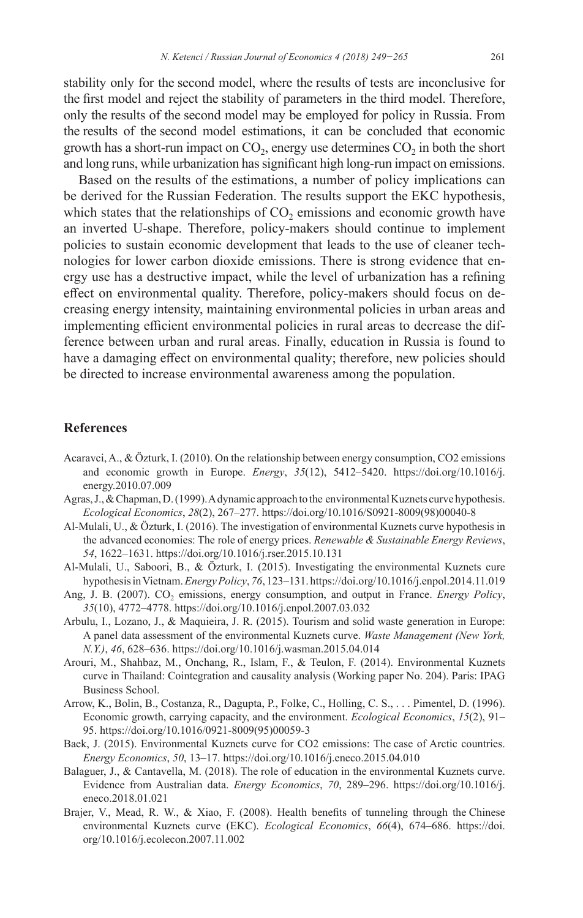stability only for the second model, where the results of tests are inconclusive for the first model and reject the stability of parameters in the third model. Therefore, only the results of the second model may be employed for policy in Russia. From the results of the second model estimations, it can be concluded that economic growth has a short-run impact on  $CO<sub>2</sub>$ , energy use determines  $CO<sub>2</sub>$  in both the short and long runs, while urbanization has significant high long-run impact on emissions.

Based on the results of the estimations, a number of policy implications can be derived for the Russian Federation. The results support the EKC hypothesis, which states that the relationships of  $CO<sub>2</sub>$  emissions and economic growth have an inverted U-shape. Therefore, policy-makers should continue to implement policies to sustain economic development that leads to the use of cleaner technologies for lower carbon dioxide emissions. There is strong evidence that energy use has a destructive impact, while the level of urbanization has a refining effect on environmental quality. Therefore, policy-makers should focus on decreasing energy intensity, maintaining environmental policies in urban areas and implementing efficient environmental policies in rural areas to decrease the difference between urban and rural areas. Finally, education in Russia is found to have a damaging effect on environmental quality; therefore, new policies should be directed to increase environmental awareness among the population.

#### **References**

- Acaravci, A., & Özturk, I. (2010). On the relationship between energy consumption, CO2 emissions and economic growth in Europe. *Energy*, *35*(12), 5412–5420. [https://doi.org/10.1016/j.](https://doi.org/10.1016/j.energy.2010.07.009) [energy.2010.07.009](https://doi.org/10.1016/j.energy.2010.07.009)
- Agras, J., & Chapman, D. (1999). A dynamic approach to the environmental Kuznets curve hypothesis. *Ecological Economics*, *28*(2), 267–277. [https://doi.org/10.1016/S0921-8009\(98\)00040-8](https://doi.org/10.1016/S0921-8009(98)00040-8)
- Al-Mulali, U., & Özturk, I. (2016). The investigation of environmental Kuznets curve hypothesis in the advanced economies: The role of energy prices. *Renewable & Sustainable Energy Reviews*, *54*, 1622–1631.<https://doi.org/10.1016/j.rser.2015.10.131>
- Al-Mulali, U., Saboori, B., & Özturk, I. (2015). Investigating the environmental Kuznets cure hypothesis in Vietnam. *Energy Policy*, *76*, 123–131.<https://doi.org/10.1016/j.enpol.2014.11.019>
- Ang, J. B. (2007). CO<sub>2</sub> emissions, energy consumption, and output in France. *Energy Policy*, *35*(10), 4772–4778.<https://doi.org/10.1016/j.enpol.2007.03.032>
- Arbulu, I., Lozano, J., & Maquieira, J. R. (2015). Tourism and solid waste generation in Europe: A panel data assessment of the environmental Kuznets curve. *Waste Management (New York, N.Y.)*, *46*, 628–636.<https://doi.org/10.1016/j.wasman.2015.04.014>
- Arouri, M., Shahbaz, M., Onchang, R., Islam, F., & Teulon, F. (2014). Environmental Kuznets curve in Thailand: Cointegration and causality analysis (Working paper No. 204). Paris: IPAG Business School.
- Arrow, K., Bolin, B., Costanza, R., Dagupta, P., Folke, C., Holling, C. S., . . . Pimentel, D. (1996). Economic growth, carrying capacity, and the environment. *Ecological Economics*, *15*(2), 91– 95. [https://doi.org/10.1016/0921-8009\(95\)00059-3](https://doi.org/10.1016/0921-8009(95)00059-3)
- Baek, J. (2015). Environmental Kuznets curve for CO2 emissions: The case of Arctic countries. *Energy Economics*, *50*, 13–17.<https://doi.org/10.1016/j.eneco.2015.04.010>
- Balaguer, J., & Cantavella, M. (2018). The role of education in the environmental Kuznets curve. Evidence from Australian data. *Energy Economics*, *70*, 289–296. [https://doi.org/10.1016/j.](https://doi.org/10.1016/j.eneco.2018.01.021) [eneco.2018.01.021](https://doi.org/10.1016/j.eneco.2018.01.021)
- Brajer, V., Mead, R. W., & Xiao, F. (2008). Health benefits of tunneling through the Chinese environmental Kuznets curve (EKC). *Ecological Economics*, *66*(4), 674–686. [https://doi.](https://doi.org/10.1016/j.ecolecon.2007.11.002) [org/10.1016/j.ecolecon.2007.11.002](https://doi.org/10.1016/j.ecolecon.2007.11.002)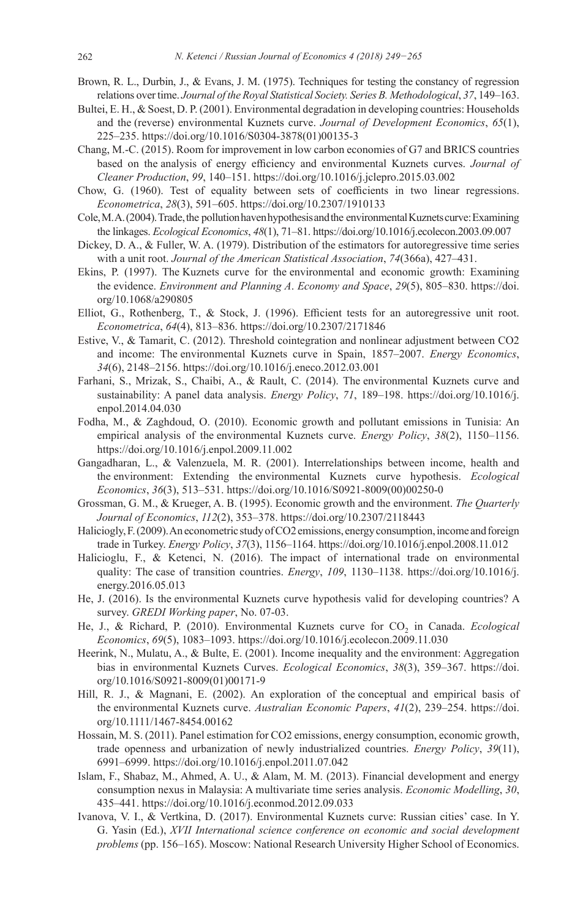- Brown, R. L., Durbin, J., & Evans, J. M. (1975). Techniques for testing the constancy of regression relations over time. *Journal of the Royal Statistical Society. Series B. Methodological*, *37*, 149–163.
- Bultei, E. H., & Soest, D. P. (2001). Environmental degradation in developing countries: Households and the (reverse) environmental Kuznets curve. *Journal of Development Economics*, *65*(1), 225–235. [https://doi.org/10.1016/S0304-3878\(01\)00135-3](https://doi.org/10.1016/S0304-3878(01)00135-3)
- Chang, M.-C. (2015). Room for improvement in low carbon economies of G7 and BRICS countries based on the analysis of energy efficiency and environmental Kuznets curves. *Journal of Cleaner Production*, *99*, 140–151.<https://doi.org/10.1016/j.jclepro.2015.03.002>
- Chow, G. (1960). Test of equality between sets of coefficients in two linear regressions. *Econometrica*, *28*(3), 591–605. <https://doi.org/10.2307/1910133>
- Cole, M. A. (2004). Trade, the pollution haven hypothesis and the environmental Kuznets curve: Examining the linkages. *Ecological Economics*, *48*(1), 71–81.<https://doi.org/10.1016/j.ecolecon.2003.09.007>
- Dickey, D. A., & Fuller, W. A. (1979). Distribution of the estimators for autoregressive time series with a unit root. *Journal of the American Statistical Association*, *74*(366a), 427–431.
- Ekins, P. (1997). The Kuznets curve for the environmental and economic growth: Examining the evidence. *Environment and Planning A*. *Economy and Space*, *29*(5), 805–830. [https://doi.](https://doi.org/10.1068/a290805) [org/10.1068/a290805](https://doi.org/10.1068/a290805)
- Elliot, G., Rothenberg, T., & Stock, J. (1996). Efficient tests for an autoregressive unit root. *Econometrica*, *64*(4), 813–836. <https://doi.org/10.2307/2171846>
- Estive, V., & Tamarit, C. (2012). Threshold cointegration and nonlinear adjustment between CO2 and income: The environmental Kuznets curve in Spain, 1857–2007. *Energy Economics*, *34*(6), 2148–2156. <https://doi.org/10.1016/j.eneco.2012.03.001>
- Farhani, S., Mrizak, S., Chaibi, A., & Rault, C. (2014). The environmental Kuznets curve and sustainability: A panel data analysis. *Energy Policy*, *71*, 189–198. [https://doi.org/10.1016/j.](https://doi.org/10.1016/j.enpol.2014.04.030) [enpol.2014.04.030](https://doi.org/10.1016/j.enpol.2014.04.030)
- Fodha, M., & Zaghdoud, O. (2010). Economic growth and pollutant emissions in Tunisia: An empirical analysis of the environmental Kuznets curve. *Energy Policy*, *38*(2), 1150–1156. <https://doi.org/10.1016/j.enpol.2009.11.002>
- Gangadharan, L., & Valenzuela, M. R. (2001). Interrelationships between income, health and the environment: Extending the environmental Kuznets curve hypothesis. *Ecological Economics*, *36*(3), 513–531. [https://doi.org/10.1016/S0921-8009\(00\)00250-0](https://doi.org/10.1016/S0921-8009(00)00250-0)
- Grossman, G. M., & Krueger, A. B. (1995). Economic growth and the environment. *The Quarterly Journal of Economics*, *112*(2), 353–378.<https://doi.org/10.2307/2118443>
- Haliciogly, F. (2009). An econometric study of CO2 emissions, energy consumption, income and foreign trade in Turkey. *Energy Policy*, *37*(3), 1156–1164. <https://doi.org/10.1016/j.enpol.2008.11.012>
- Halicioglu, F., & Ketenci, N. (2016). The impact of international trade on environmental quality: The case of transition countries. *Energy*, *109*, 1130–1138. [https://doi.org/10.1016/j.](https://doi.org/10.1016/j.energy.2016.05.013) [energy.2016.05.013](https://doi.org/10.1016/j.energy.2016.05.013)
- He, J. (2016). Is the environmental Kuznets curve hypothesis valid for developing countries? A survey. *GREDI Working paper*, No. 07-03.
- He, J., & Richard, P. (2010). Environmental Kuznets curve for CO<sub>2</sub> in Canada. *Ecological Economics*, *69*(5), 1083–1093. <https://doi.org/10.1016/j.ecolecon.2009.11.030>
- Heerink, N., Mulatu, A., & Bulte, E. (2001). Income inequality and the environment: Aggregation bias in environmental Kuznets Curves. *Ecological Economics*, *38*(3), 359–367. [https://doi.](https://doi.org/10.1016/S0921-8009(01)00171-9) [org/10.1016/S0921-8009\(01\)00171-9](https://doi.org/10.1016/S0921-8009(01)00171-9)
- Hill, R. J., & Magnani, E. (2002). An exploration of the conceptual and empirical basis of the environmental Kuznets curve. *Australian Economic Papers*, *41*(2), 239–254. [https://doi.](https://doi.org/10.1111/1467-8454.00162) [org/10.1111/1467-8454.00162](https://doi.org/10.1111/1467-8454.00162)
- Hossain, M. S. (2011). Panel estimation for CO2 emissions, energy consumption, economic growth, trade openness and urbanization of newly industrialized countries. *Energy Policy*, *39*(11), 6991–6999. <https://doi.org/10.1016/j.enpol.2011.07.042>
- Islam, F., Shabaz, M., Ahmed, A. U., & Alam, M. M. (2013). Financial development and energy consumption nexus in Malaysia: A multivariate time series analysis. *Economic Modelling*, *30*, 435–441. <https://doi.org/10.1016/j.econmod.2012.09.033>
- Ivanova, V. I., & Vertkina, D. (2017). Environmental Kuznets curve: Russian cities' case. In Y. G. Yasin (Ed.), *XVII International science conference on economic and social development problems* (pp. 156–165). Moscow: National Research University Higher School of Economics.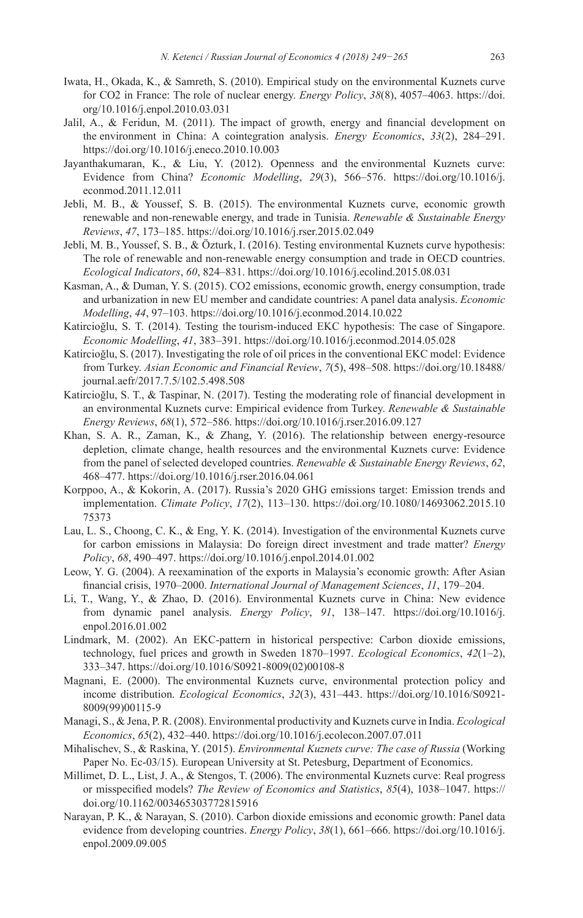- Iwata, H., Okada, K., & Samreth, S. (2010). Empirical study on the environmental Kuznets curve for CO2 in France: The role of nuclear energy. *Energy Policy*, *38*(8), 4057–4063. [https://doi.](https://doi.org/10.1016/j.enpol.2010.03.031) [org/10.1016/j.enpol.2010.03.031](https://doi.org/10.1016/j.enpol.2010.03.031)
- Jalil, A., & Feridun, M. (2011). The impact of growth, energy and financial development on the environment in China: A cointegration analysis. *Energy Economics*, *33*(2), 284–291. <https://doi.org/10.1016/j.eneco.2010.10.003>
- Jayanthakumaran, K., & Liu, Y. (2012). Openness and the environmental Kuznets curve: Evidence from China? *Economic Modelling*, *29*(3), 566–576. [https://doi.org/10.1016/j.](https://doi.org/10.1016/j.econmod.2011.12.011) [econmod.2011.12.011](https://doi.org/10.1016/j.econmod.2011.12.011)
- Jebli, M. B., & Youssef, S. B. (2015). The environmental Kuznets curve, economic growth renewable and non-renewable energy, and trade in Tunisia. *Renewable & Sustainable Energy Reviews*, *47*, 173–185.<https://doi.org/10.1016/j.rser.2015.02.049>
- Jebli, M. B., Youssef, S. B., & Özturk, I. (2016). Testing environmental Kuznets curve hypothesis: The role of renewable and non-renewable energy consumption and trade in OECD countries. *Ecological Indicators*, *60*, 824–831. <https://doi.org/10.1016/j.ecolind.2015.08.031>
- Kasman, A., & Duman, Y. S. (2015). CO2 emissions, economic growth, energy consumption, trade and urbanization in new EU member and candidate countries: A panel data analysis. *Economic Modelling*, *44*, 97–103.<https://doi.org/10.1016/j.econmod.2014.10.022>
- Katircioğlu, S. T. (2014). Testing the tourism-induced EKC hypothesis: The case of Singapore. *Economic Modelling*, *41*, 383–391. <https://doi.org/10.1016/j.econmod.2014.05.028>
- Katircioğlu, S. (2017). Investigating the role of oil prices in the conventional EKC model: Evidence from Turkey. *Asian Economic and Financial Review*, *7*(5), 498–508. [https://doi.org/10.18488/](https://doi.org/10.18488/journal.aefr/2017.7.5/102.5.498.508) [journal.aefr/2017.7.5/102.5.498.508](https://doi.org/10.18488/journal.aefr/2017.7.5/102.5.498.508)
- Katircioğlu, S. T., & Taspinar, N. (2017). Testing the moderating role of financial development in an environmental Kuznets curve: Empirical evidence from Turkey. *Renewable & Sustainable Energy Reviews*, *68*(1), 572–586. <https://doi.org/10.1016/j.rser.2016.09.127>
- Khan, S. A. R., Zaman, K., & Zhang, Y. (2016). The relationship between energy-resource depletion, climate change, health resources and the environmental Kuznets curve: Evidence from the panel of selected developed countries. *Renewable & Sustainable Energy Reviews*, *62*, 468–477. <https://doi.org/10.1016/j.rser.2016.04.061>
- Korppoo, A., & Kokorin, A. (2017). Russia's 2020 GHG emissions target: Emission trends and implementation. *Climate Policy*, *17*(2), 113–130. [https://doi.org/10.1080/14693062.2015.10](https://doi.org/10.1080/14693062.2015.1075373) [75373](https://doi.org/10.1080/14693062.2015.1075373)
- Lau, L. S., Choong, C. K., & Eng, Y. K. (2014). Investigation of the environmental Kuznets curve for carbon emissions in Malaysia: Do foreign direct investment and trade matter? *Energy Policy*, *68*, 490–497. <https://doi.org/10.1016/j.enpol.2014.01.002>
- Leow, Y. G. (2004). A reexamination of the exports in Malaysia's economic growth: After Asian financial crisis, 1970–2000. *International Journal of Management Sciences*, *11*, 179–204.
- Li, T., Wang, Y., & Zhao, D. (2016). Environmental Kuznets curve in China: New evidence from dynamic panel analysis. *Energy Policy*, *91*, 138–147. [https://doi.org/10.1016/j.](https://doi.org/10.1016/j.enpol.2016.01.002) [enpol.2016.01.002](https://doi.org/10.1016/j.enpol.2016.01.002)
- Lindmark, M. (2002). An EKC-pattern in historical perspective: Carbon dioxide emissions, technology, fuel prices and growth in Sweden 1870–1997. *Ecological Economics*, *42*(1–2), 333–347. [https://doi.org/10.1016/S0921-8009\(02\)00108-8](https://doi.org/10.1016/S0921-8009(02)00108-8)
- Magnani, E. (2000). The environmental Kuznets curve, environmental protection policy and income distribution. *Ecological Economics*, *32*(3), 431–443. [https://doi.org/10.1016/S0921-](https://doi.org/10.1016/S0921-8009(99)00115-9) [8009\(99\)00115-9](https://doi.org/10.1016/S0921-8009(99)00115-9)
- Managi, S., & Jena, P. R. (2008). Environmental productivity and Kuznets curve in India. *Ecological Economics*, *65*(2), 432–440. <https://doi.org/10.1016/j.ecolecon.2007.07.011>
- Mihalischev, S., & Raskina, Y. (2015). *Environmental Kuznets curve: The case of Russia* (Working Paper No. Ec-03/15). European University at St. Petesburg, Department of Economics.
- Millimet, D. L., List, J. A., & Stengos, T. (2006). The environmental Kuznets curve: Real progress or misspecified models? *The Review of Economics and Statistics*, *85*(4), 1038–1047. [https://](https://doi.org/10.1162/003465303772815916) [doi.org/10.1162/003465303772815916](https://doi.org/10.1162/003465303772815916)
- Narayan, P. K., & Narayan, S. (2010). Carbon dioxide emissions and economic growth: Panel data evidence from developing countries. *Energy Policy*, *38*(1), 661–666. [https://doi.org/10.1016/j.](https://doi.org/10.1016/j.enpol.2009.09.005) [enpol.2009.09.005](https://doi.org/10.1016/j.enpol.2009.09.005)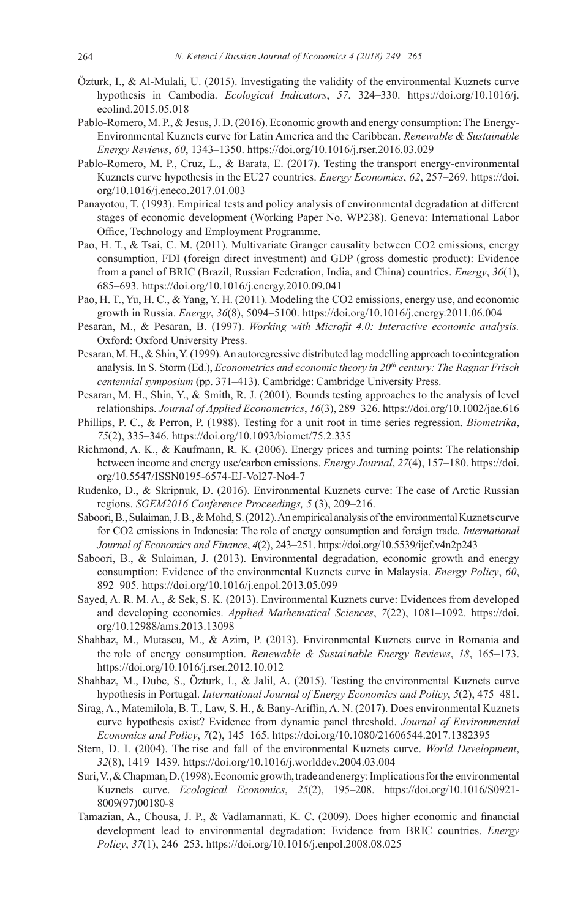- Özturk, I., & Al-Mulali, U. (2015). Investigating the validity of the environmental Kuznets curve hypothesis in Cambodia. *Ecological Indicators*, *57*, 324–330. [https://doi.org/10.1016/j.](https://doi.org/10.1016/j.ecolind.2015.05.018) [ecolind.2015.05.018](https://doi.org/10.1016/j.ecolind.2015.05.018)
- Pablo-Romero, M. P., & Jesus, J. D. (2016). Economic growth and energy consumption: The Energy-Environmental Kuznets curve for Latin America and the Caribbean. *Renewable & Sustainable Energy Reviews*, *60*, 1343–1350.<https://doi.org/10.1016/j.rser.2016.03.029>
- Pablo-Romero, M. P., Cruz, L., & Barata, E. (2017). Testing the transport energy-environmental Kuznets curve hypothesis in the EU27 countries. *Energy Economics*, *62*, 257–269. [https://doi.](https://doi.org/10.1016/j.eneco.2017.01.003) [org/10.1016/j.eneco.2017.01.003](https://doi.org/10.1016/j.eneco.2017.01.003)
- Panayotou, T. (1993). Empirical tests and policy analysis of environmental degradation at different stages of economic development (Working Paper No. WP238). Geneva: International Labor Office, Technology and Employment Programme.
- Pao, H. T., & Tsai, C. M. (2011). Multivariate Granger causality between CO2 emissions, energy consumption, FDI (foreign direct investment) and GDP (gross domestic product): Evidence from a panel of BRIC (Brazil, Russian Federation, India, and China) countries. *Energy*, *36*(1), 685–693. <https://doi.org/10.1016/j.energy.2010.09.041>
- Pao, H. T., Yu, H. C., & Yang, Y. H. (2011). Modeling the CO2 emissions, energy use, and economic growth in Russia. *Energy*, *36*(8), 5094–5100. <https://doi.org/10.1016/j.energy.2011.06.004>
- Pesaran, M., & Pesaran, B. (1997). *Working with Microfit 4.0: Interactive economic analysis.* Oxford: Oxford University Press.
- Pesaran, M. H., & Shin, Y. (1999). An autoregressive distributed lag modelling approach to cointegration analysis. In S. Storm (Ed.), *Econometrics and economic theory in 20th century: The Ragnar Frisch centennial symposium* (pp. 371–413). Cambridge: Cambridge University Press.
- Pesaran, M. H., Shin, Y., & Smith, R. J. (2001). Bounds testing approaches to the analysis of level relationships. *Journal of Applied Econometrics*, *16*(3), 289–326.<https://doi.org/10.1002/jae.616>
- Phillips, P. C., & Perron, P. (1988). Testing for a unit root in time series regression. *Biometrika*, *75*(2), 335–346. <https://doi.org/10.1093/biomet/75.2.335>
- Richmond, A. K., & Kaufmann, R. K. (2006). Energy prices and turning points: The relationship between income and energy use/carbon emissions. *Energy Journal*, *27*(4), 157–180. [https://doi.](https://doi.org/10.5547/ISSN0195-6574-EJ-Vol27-No4-7) [org/10.5547/ISSN0195-6574-EJ-Vol27-No4-7](https://doi.org/10.5547/ISSN0195-6574-EJ-Vol27-No4-7)
- Rudenko, D., & Skripnuk, D. (2016). Environmental Kuznets curve: The case of Arctic Russian regions. *SGEM2016 Conference Proceedings, 5* (3), 209–216.
- Saboori, B., Sulaiman, J. B., & Mohd, S. (2012). An empirical analysis of the environmental Kuznets curve for CO2 emissions in Indonesia: The role of energy consumption and foreign trade. *International Journal of Economics and Finance*, *4*(2), 243–251.<https://doi.org/10.5539/ijef.v4n2p243>
- Saboori, B., & Sulaiman, J. (2013). Environmental degradation, economic growth and energy consumption: Evidence of the environmental Kuznets curve in Malaysia. *Energy Policy*, *60*, 892–905. <https://doi.org/10.1016/j.enpol.2013.05.099>
- Sayed, A. R. M. A., & Sek, S. K. (2013). Environmental Kuznets curve: Evidences from developed and developing economies. *Applied Mathematical Sciences*, *7*(22), 1081–1092. [https://doi.](https://doi.org/10.12988/ams.2013.13098) [org/10.12988/ams.2013.13098](https://doi.org/10.12988/ams.2013.13098)
- Shahbaz, M., Mutascu, M., & Azim, P. (2013). Environmental Kuznets curve in Romania and the role of energy consumption. *Renewable & Sustai nable Energy Reviews*, *18*, 165–173. <https://doi.org/10.1016/j.rser.2012.10.012>
- Shahbaz, M., Dube, S., Özturk, I., & Jalil, A. (2015). Testing the environmental Kuznets curve hypothesis in Portugal. *International Journal of Energy Economics and Policy*, *5*(2), 475–481.
- Sirag, A., Matemilola, B. T., Law, S. H., & Bany-Ariffin, A. N. (2017). Does environmental Kuznets curve hypothesis exist? Evidence from dynamic panel threshold. *Journal of Environmental Economics and Policy*, *7*(2), 145–165.<https://doi.org/10.1080/21606544.2017.1382395>
- Stern, D. I. (2004). The rise and fall of the environmental Kuznets curve. *World Development*, *32*(8), 1419–1439. <https://doi.org/10.1016/j.worlddev.2004.03.004>
- Suri, V., & Chapman, D. (1998). Economic growth, trade and energy: Implications for the environmental Kuznets curve. *Ecological Economics*, *25*(2), 195–208. [https://doi.org/10.1016/S0921-](https://doi.org/10.1016/S0921-8009(97)00180-8) [8009\(97\)00180-8](https://doi.org/10.1016/S0921-8009(97)00180-8)
- Tamazian, A., Chousa, J. P., & Vadlamannati, K. C. (2009). Does higher economic and financial development lead to environmental degradation: Evidence from BRIC countries. *Energy Policy*, *37*(1), 246–253.<https://doi.org/10.1016/j.enpol.2008.08.025>